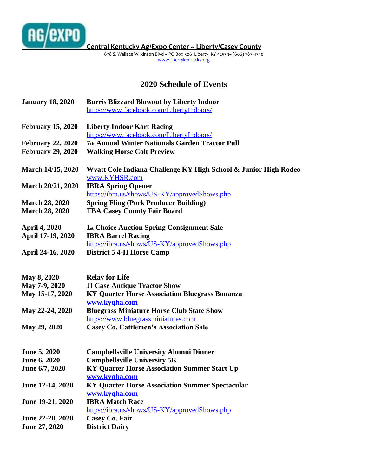

**[C](https://www.facebook.com/#!/pages/Central-Kentucky-AgExpo-Center/102845099790545)entral Kentucky Ag/Expo Center ~ Liberty/Casey County**

678 S. Wallace Wilkinson Blvd ~ PO Box 306 Liberty, KY 42539~ (606) 787-4740 [www.libertykentucky.org](http://www.libertykentucky.org/)

## **2020 Schedule of Events**

| <b>January 18, 2020</b>  | <b>Burris Blizzard Blowout by Liberty Indoor</b><br>https://www.facebook.com/LibertyIndoors/ |
|--------------------------|----------------------------------------------------------------------------------------------|
| <b>February 15, 2020</b> | <b>Liberty Indoor Kart Racing</b>                                                            |
|                          | https://www.facebook.com/LibertyIndoors/                                                     |
| <b>February 22, 2020</b> | 7th Annual Winter Nationals Garden Tractor Pull                                              |
| <b>February 29, 2020</b> | <b>Walking Horse Colt Preview</b>                                                            |
| March 14/15, 2020        | Wyatt Cole Indiana Challenge KY High School & Junior High Rodeo                              |
|                          | www.KYHSR.com                                                                                |
| March 20/21, 2020        | <b>IBRA Spring Opener</b>                                                                    |
|                          | https://ibra.us/shows/US-KY/approvedShows.php                                                |
| <b>March 28, 2020</b>    | <b>Spring Fling (Pork Producer Building)</b>                                                 |
| <b>March 28, 2020</b>    | <b>TBA Casey County Fair Board</b>                                                           |
| <b>April 4, 2020</b>     | <b>1st Choice Auction Spring Consignment Sale</b>                                            |
| April 17-19, 2020        | <b>IBRA Barrel Racing</b>                                                                    |
|                          | https://ibra.us/shows/US-KY/approvedShows.php                                                |
| April 24-16, 2020        | <b>District 5 4-H Horse Camp</b>                                                             |
| May 8, 2020              | <b>Relay for Life</b>                                                                        |
| May 7-9, 2020            | <b>JI Case Antique Tractor Show</b>                                                          |
| May 15-17, 2020          | <b>KY Quarter Horse Association Bluegrass Bonanza</b>                                        |
|                          | www.kyqha.com                                                                                |
| May 22-24, 2020          | <b>Bluegrass Miniature Horse Club State Show</b>                                             |
|                          | https://www.bluegrassminiatures.com                                                          |
| May 29, 2020             | <b>Casey Co. Cattlemen's Association Sale</b>                                                |
|                          |                                                                                              |
| <b>June 5, 2020</b>      | <b>Campbellsville University Alumni Dinner</b>                                               |
| <b>June 6, 2020</b>      | <b>Campbellsville University 5K</b>                                                          |
| June 6/7, 2020           | <b>KY Quarter Horse Association Summer Start Up</b>                                          |
|                          | www.kyqha.com                                                                                |
| June 12-14, 2020         | <b>KY Quarter Horse Association Summer Spectacular</b>                                       |
|                          | www.kyqha.com                                                                                |
| June 19-21, 2020         | <b>IBRA Match Race</b>                                                                       |
|                          | https://ibra.us/shows/US-KY/approvedShows.php                                                |
| June 22-28, 2020         | Casey Co. Fair                                                                               |
| June 27, 2020            | <b>District Dairy</b>                                                                        |
|                          |                                                                                              |